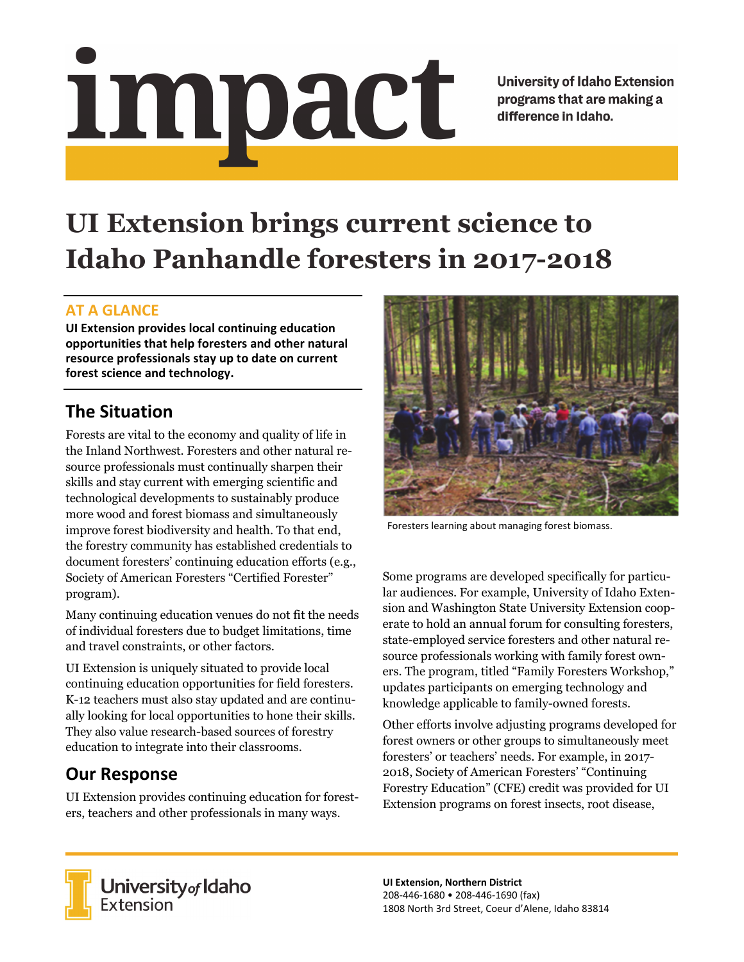# <u>impact</u>

**University of Idaho Extension** programs that are making a difference in Idaho.

# **UI Extension brings current science to Idaho Panhandle foresters in 2017-2018**

#### **AT A GLANCE**

**UI Extension provides local continuing education opportunities that help foresters and other natural resource professionals stay up to date on current forest science and technology.**

## **The Situation**

Forests are vital to the economy and quality of life in the Inland Northwest. Foresters and other natural resource professionals must continually sharpen their skills and stay current with emerging scientific and technological developments to sustainably produce more wood and forest biomass and simultaneously improve forest biodiversity and health. To that end, the forestry community has established credentials to document foresters' continuing education efforts (e.g., Society of American Foresters "Certified Forester" program).

Many continuing education venues do not fit the needs of individual foresters due to budget limitations, time and travel constraints, or other factors.

UI Extension is uniquely situated to provide local continuing education opportunities for field foresters. K-12 teachers must also stay updated and are continually looking for local opportunities to hone their skills. They also value research-based sources of forestry education to integrate into their classrooms.

# **Our Response**

UI Extension provides continuing education for foresters, teachers and other professionals in many ways.



Foresters learning about managing forest biomass.

Some programs are developed specifically for particular audiences. For example, University of Idaho Extension and Washington State University Extension cooperate to hold an annual forum for consulting foresters, state-employed service foresters and other natural resource professionals working with family forest owners. The program, titled "Family Foresters Workshop," updates participants on emerging technology and knowledge applicable to family-owned forests.

Other efforts involve adjusting programs developed for forest owners or other groups to simultaneously meet foresters' or teachers' needs. For example, in 2017- 2018, Society of American Foresters' "Continuing Forestry Education" (CFE) credit was provided for UI Extension programs on forest insects, root disease,



**University** of Idaho<br>Extension

**UI Extension, Northern District** 208‐446‐1680 • 208‐446‐1690 (fax) 1808 North 3rd Street, Coeur d'Alene, Idaho 83814